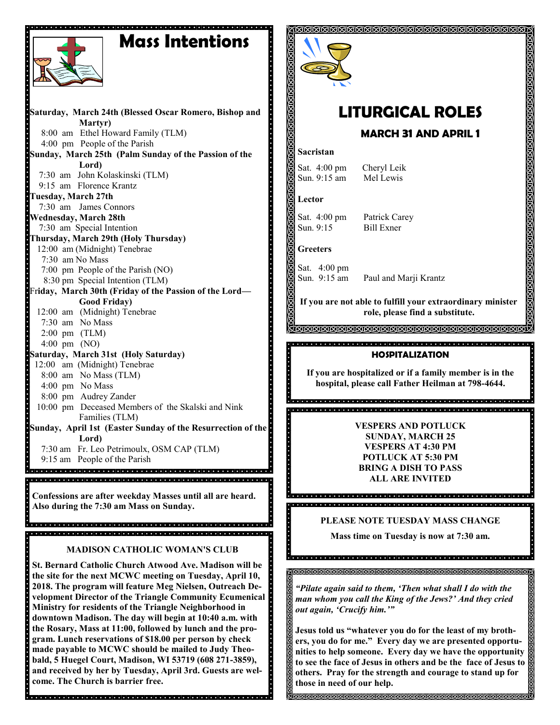## **Mass Intentions**



**Saturday, March 24th (Blessed Oscar Romero, Bishop and Martyr)** 8:00 am Ethel Howard Family (TLM) 4:00 pm People of the Parish **Sunday, March 25th (Palm Sunday of the Passion of the Lord)** 7:30 am John Kolaskinski (TLM) 9:15 am Florence Krantz **Tuesday, March 27th** 7:30 am James Connors **Wednesday, March 28th** 7:30 am Special Intention **Thursday, March 29th (Holy Thursday)**  12:00 am (Midnight) Tenebrae 7:30 am No Mass 7:00 pm People of the Parish (NO) 8:30 pm Special Intention (TLM) Fr**iday, March 30th (Friday of the Passion of the Lord— Good Friday)** 12:00 am (Midnight) Tenebrae 7:30 am No Mass 2:00 pm (TLM) 4:00 pm (NO) **Saturday, March 31st (Holy Saturday)** 12:00 am (Midnight) Tenebrae 8:00 am No Mass (TLM) 4:00 pm No Mass 8:00 pm Audrey Zander 10:00 pm Deceased Members of the Skalski and Nink Families (TLM) **Sunday, April 1st (Easter Sunday of the Resurrection of the Lord)** 7:30 am Fr. Leo Petrimoulx, OSM CAP (TLM) 9:15 am People of the Parish na de la construcción de la construcción de la construcción de la construcción de la construcción de

**Confessions are after weekday Masses until all are heard. Also during the 7:30 am Mass on Sunday.**

de del didiel didiel didiel didiel didiel didiel didiel didiel didiel didiel didiel didiel didiel didiel didiel

#### **MADISON CATHOLIC WOMAN'S CLUB**

**St. Bernard Catholic Church Atwood Ave. Madison will be the site for the next MCWC meeting on Tuesday, April 10, 2018. The program will feature Meg Nielsen, Outreach Development Director of the Triangle Community Ecumenical Ministry for residents of the Triangle Neighborhood in downtown Madison. The day will begin at 10:40 a.m. with the Rosary, Mass at 11:00, followed by lunch and the program. Lunch reservations of \$18.00 per person by check made payable to MCWC should be mailed to Judy Theobald, 5 Huegel Court, Madison, WI 53719 (608 271-3859), and received by her by Tuesday, April 3rd. Guests are welcome. The Church is barrier free.**



# **LITURGICAL ROLES**

### **MARCH 31 AND APRIL 1**

#### **Sacristan**

Sat. 4:00 pm Cheryl Leik<br>Sun. 9:15 am Mel Lewis Sun.  $9:15$  am

**Lector**

Sat. 4:00 pm Patrick Carey Sun. 9:15 Bill Exner

#### **Greeters**

Sat. 4:00 pm Sun. 9:15 am Paul and Marji Krantz

**If you are not able to fulfill your extraordinary minister role, please find a substitute.** 

<u>JAJAANANANANANANANANANANANANANANAN</u>

#### **HOSPITALIZATION**

**If you are hospitalized or if a family member is in the hospital, please call Father Heilman at 798-4644.**

> **VESPERS AND POTLUCK SUNDAY, MARCH 25 VESPERS AT 4:30 PM POTLUCK AT 5:30 PM BRING A DISH TO PASS ALL ARE INVITED**

#### **PLEASE NOTE TUESDAY MASS CHANGE**

**Mass time on Tuesday is now at 7:30 am.**

*"Pilate again said to them, 'Then what shall I do with the man whom you call the King of the Jews?' And they cried out again, 'Crucify him.'"*

**Jesus told us "whatever you do for the least of my brothers, you do for me." Every day we are presented opportunities to help someone. Every day we have the opportunity to see the face of Jesus in others and be the face of Jesus to others. Pray for the strength and courage to stand up for those in need of our help.**